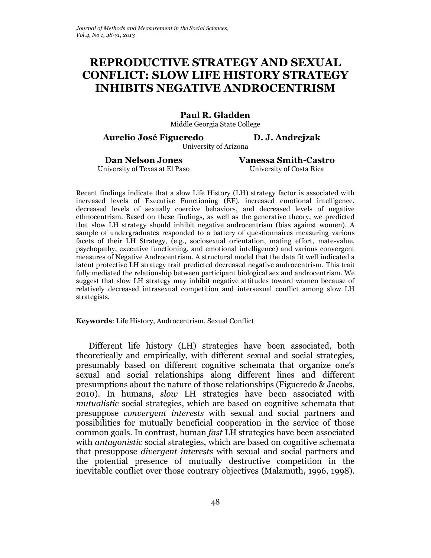# **REPRODUCTIVE STRATEGY AND SEXUAL CONFLICT: SLOW LIFE HISTORY STRATEGY INHIBITS NEGATIVE ANDROCENTRISM**

## **Paul R. Gladden**

Middle Georgia State College

 **Aurelio José Figueredo D. J. Andrejzak**

University of Arizona

University of Texas at El Paso

**Dan Nelson Jones Vanessa Smith-Castro** *Nelson Jones* **Vanessa Smith-Castro** *University of Costa Rica* 

Recent findings indicate that a slow Life History (LH) strategy factor is associated with increased levels of Executive Functioning (EF), increased emotional intelligence, decreased levels of sexually coercive behaviors, and decreased levels of negative ethnocentrism. Based on these findings, as well as the generative theory, we predicted that slow LH strategy should inhibit negative androcentrism (bias against women). A sample of undergraduates responded to a battery of questionnaires measuring various facets of their LH Strategy, (e.g., sociosexual orientation, mating effort, mate-value, psychopathy, executive functioning, and emotional intelligence) and various convergent measures of Negative Androcentrism. A structural model that the data fit well indicated a latent protective LH strategy trait predicted decreased negative androcentrism. This trait fully mediated the relationship between participant biological sex and androcentrism. We suggest that slow LH strategy may inhibit negative attitudes toward women because of relatively decreased intrasexual competition and intersexual conflict among slow LH strategists.

**Keywords**: Life History, Androcentrism, Sexual Conflict

Different life history (LH) strategies have been associated, both theoretically and empirically, with different sexual and social strategies, presumably based on different cognitive schemata that organize one's sexual and social relationships along different lines and different presumptions about the nature of those relationships (Figueredo & Jacobs, 2010). In humans, *slow* LH strategies have been associated with *mutualistic* social strategies, which are based on cognitive schemata that presuppose *convergent interests* with sexual and social partners and possibilities for mutually beneficial cooperation in the service of those common goals. In contrast, human *fast* LH strategies have been associated with *antagonistic* social strategies, which are based on cognitive schemata that presuppose *divergent interests* with sexual and social partners and the potential presence of mutually destructive competition in the inevitable conflict over those contrary objectives (Malamuth, 1996, 1998).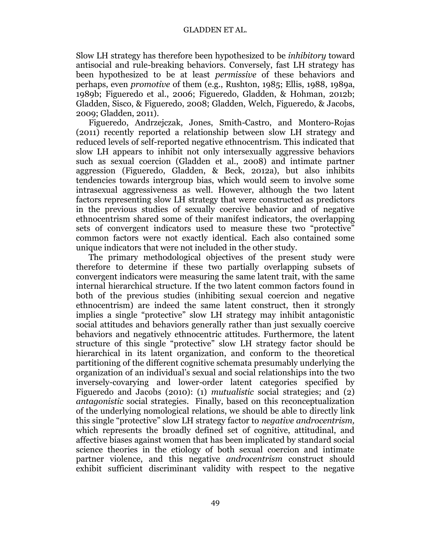Slow LH strategy has therefore been hypothesized to be *inhibitory* toward antisocial and rule-breaking behaviors. Conversely, fast LH strategy has been hypothesized to be at least *permissive* of these behaviors and perhaps, even *promotive* of them (e.g., Rushton, 1985; Ellis, 1988, 1989a, 1989b; Figueredo et al., 2006; Figueredo, Gladden, & Hohman, 2012b; Gladden, Sisco, & Figueredo, 2008; Gladden, Welch, Figueredo, & Jacobs, 2009; Gladden, 2011).

Figueredo, Andrzejczak, Jones, Smith-Castro, and Montero-Rojas (2011) recently reported a relationship between slow LH strategy and reduced levels of self-reported negative ethnocentrism. This indicated that slow LH appears to inhibit not only intersexually aggressive behaviors such as sexual coercion (Gladden et al., 2008) and intimate partner aggression (Figueredo, Gladden, & Beck, 2012a), but also inhibits tendencies towards intergroup bias, which would seem to involve some intrasexual aggressiveness as well. However, although the two latent factors representing slow LH strategy that were constructed as predictors in the previous studies of sexually coercive behavior and of negative ethnocentrism shared some of their manifest indicators, the overlapping sets of convergent indicators used to measure these two "protective" common factors were not exactly identical. Each also contained some unique indicators that were not included in the other study.

The primary methodological objectives of the present study were therefore to determine if these two partially overlapping subsets of convergent indicators were measuring the same latent trait, with the same internal hierarchical structure. If the two latent common factors found in both of the previous studies (inhibiting sexual coercion and negative ethnocentrism) are indeed the same latent construct, then it strongly implies a single "protective" slow LH strategy may inhibit antagonistic social attitudes and behaviors generally rather than just sexually coercive behaviors and negatively ethnocentric attitudes. Furthermore, the latent structure of this single "protective" slow LH strategy factor should be hierarchical in its latent organization, and conform to the theoretical partitioning of the different cognitive schemata presumably underlying the organization of an individual's sexual and social relationships into the two inversely-covarying and lower-order latent categories specified by Figueredo and Jacobs (2010): (1) *mutualistic* social strategies; and (2) *antagonistic* social strategies. Finally, based on this reconceptualization of the underlying nomological relations, we should be able to directly link this single "protective" slow LH strategy factor to *negative androcentrism,* which represents the broadly defined set of cognitive, attitudinal, and affective biases against women that has been implicated by standard social science theories in the etiology of both sexual coercion and intimate partner violence, and this negative *androcentrism* construct should exhibit sufficient discriminant validity with respect to the negative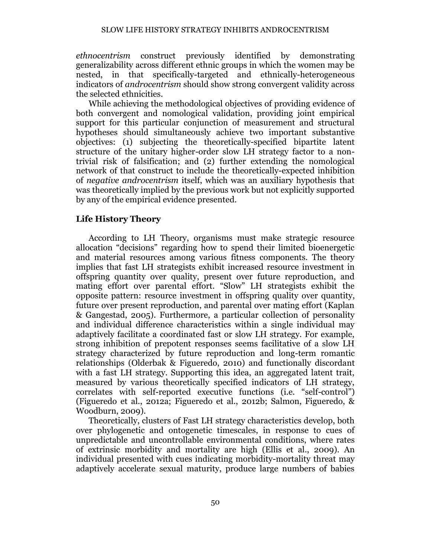*ethnocentrism* construct previously identified by demonstrating generalizability across different ethnic groups in which the women may be nested, in that specifically-targeted and ethnically-heterogeneous indicators of *androcentrism* should show strong convergent validity across the selected ethnicities.

While achieving the methodological objectives of providing evidence of both convergent and nomological validation, providing joint empirical support for this particular conjunction of measurement and structural hypotheses should simultaneously achieve two important substantive objectives: (1) subjecting the theoretically-specified bipartite latent structure of the unitary higher-order slow LH strategy factor to a nontrivial risk of falsification; and (2) further extending the nomological network of that construct to include the theoretically-expected inhibition of *negative androcentrism* itself, which was an auxiliary hypothesis that was theoretically implied by the previous work but not explicitly supported by any of the empirical evidence presented.

## **Life History Theory**

According to LH Theory, organisms must make strategic resource allocation "decisions" regarding how to spend their limited bioenergetic and material resources among various fitness components. The theory implies that fast LH strategists exhibit increased resource investment in offspring quantity over quality, present over future reproduction, and mating effort over parental effort. "Slow" LH strategists exhibit the opposite pattern: resource investment in offspring quality over quantity, future over present reproduction, and parental over mating effort (Kaplan & Gangestad, 2005). Furthermore, a particular collection of personality and individual difference characteristics within a single individual may adaptively facilitate a coordinated fast or slow LH strategy. For example, strong inhibition of prepotent responses seems facilitative of a slow LH strategy characterized by future reproduction and long-term romantic relationships (Olderbak & Figueredo, 2010) and functionally discordant with a fast LH strategy. Supporting this idea, an aggregated latent trait, measured by various theoretically specified indicators of LH strategy, correlates with self-reported executive functions (i.e. "self-control") (Figueredo et al., 2012a; Figueredo et al., 2012b; Salmon, Figueredo, & Woodburn, 2009).

Theoretically, clusters of Fast LH strategy characteristics develop, both over phylogenetic and ontogenetic timescales, in response to cues of unpredictable and uncontrollable environmental conditions, where rates of extrinsic morbidity and mortality are high (Ellis et al., 2009). An individual presented with cues indicating morbidity-mortality threat may adaptively accelerate sexual maturity, produce large numbers of babies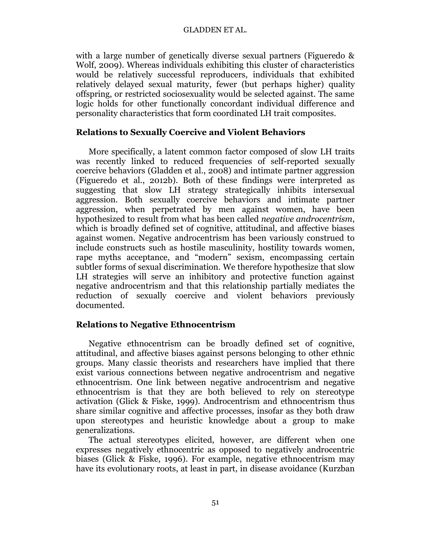with a large number of genetically diverse sexual partners (Figueredo & Wolf, 2009). Whereas individuals exhibiting this cluster of characteristics would be relatively successful reproducers, individuals that exhibited relatively delayed sexual maturity, fewer (but perhaps higher) quality offspring, or restricted sociosexuality would be selected against. The same logic holds for other functionally concordant individual difference and personality characteristics that form coordinated LH trait composites.

## **Relations to Sexually Coercive and Violent Behaviors**

More specifically, a latent common factor composed of slow LH traits was recently linked to reduced frequencies of self-reported sexually coercive behaviors (Gladden et al., 2008) and intimate partner aggression (Figueredo et al., 2012b). Both of these findings were interpreted as suggesting that slow LH strategy strategically inhibits intersexual aggression. Both sexually coercive behaviors and intimate partner aggression, when perpetrated by men against women, have been hypothesized to result from what has been called *negative androcentrism*, which is broadly defined set of cognitive, attitudinal, and affective biases against women. Negative androcentrism has been variously construed to include constructs such as hostile masculinity, hostility towards women, rape myths acceptance, and "modern" sexism, encompassing certain subtler forms of sexual discrimination. We therefore hypothesize that slow LH strategies will serve an inhibitory and protective function against negative androcentrism and that this relationship partially mediates the reduction of sexually coercive and violent behaviors previously documented.

#### **Relations to Negative Ethnocentrism**

Negative ethnocentrism can be broadly defined set of cognitive, attitudinal, and affective biases against persons belonging to other ethnic groups. Many classic theorists and researchers have implied that there exist various connections between negative androcentrism and negative ethnocentrism. One link between negative androcentrism and negative ethnocentrism is that they are both believed to rely on stereotype activation (Glick & Fiske, 1999). Androcentrism and ethnocentrism thus share similar cognitive and affective processes, insofar as they both draw upon stereotypes and heuristic knowledge about a group to make generalizations.

The actual stereotypes elicited, however, are different when one expresses negatively ethnocentric as opposed to negatively androcentric biases (Glick & Fiske, 1996). For example, negative ethnocentrism may have its evolutionary roots, at least in part, in disease avoidance (Kurzban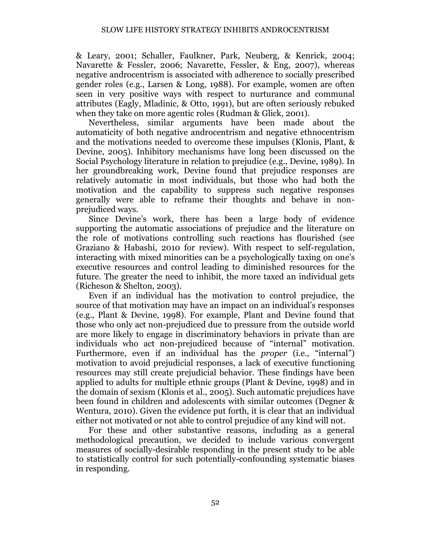& Leary, 2001; Schaller, Faulkner, Park, Neuberg, & Kenrick, 2004; Navarette & Fessler, 2006; Navarette, Fessler, & Eng, 2007), whereas negative androcentrism is associated with adherence to socially prescribed gender roles (e.g., Larsen & Long, 1988). For example, women are often seen in very positive ways with respect to nurturance and communal attributes (Eagly, Mladinic, & Otto, 1991), but are often seriously rebuked when they take on more agentic roles (Rudman & Glick, 2001).

Nevertheless, similar arguments have been made about the automaticity of both negative androcentrism and negative ethnocentrism and the motivations needed to overcome these impulses (Klonis, Plant, & Devine, 2005). Inhibitory mechanisms have long been discussed on the Social Psychology literature in relation to prejudice (e.g., Devine, 1989). In her groundbreaking work, Devine found that prejudice responses are relatively automatic in most individuals, but those who had both the motivation and the capability to suppress such negative responses generally were able to reframe their thoughts and behave in nonprejudiced ways.

Since Devine's work, there has been a large body of evidence supporting the automatic associations of prejudice and the literature on the role of motivations controlling such reactions has flourished (see Graziano & Habashi, 2010 for review). With respect to self-regulation, interacting with mixed minorities can be a psychologically taxing on one's executive resources and control leading to diminished resources for the future. The greater the need to inhibit, the more taxed an individual gets (Richeson & Shelton, 2003).

Even if an individual has the motivation to control prejudice, the source of that motivation may have an impact on an individual's responses (e.g., Plant & Devine, 1998). For example, Plant and Devine found that those who only act non-prejudiced due to pressure from the outside world are more likely to engage in discriminatory behaviors in private than are individuals who act non-prejudiced because of "internal" motivation. Furthermore, even if an individual has the *proper* (i.e., "internal") motivation to avoid prejudicial responses, a lack of executive functioning resources may still create prejudicial behavior. These findings have been applied to adults for multiple ethnic groups (Plant & Devine, 1998) and in the domain of sexism (Klonis et al., 2005). Such automatic prejudices have been found in children and adolescents with similar outcomes (Degner & Wentura, 2010). Given the evidence put forth, it is clear that an individual either not motivated or not able to control prejudice of any kind will not.

For these and other substantive reasons, including as a general methodological precaution, we decided to include various convergent measures of socially-desirable responding in the present study to be able to statistically control for such potentially-confounding systematic biases in responding.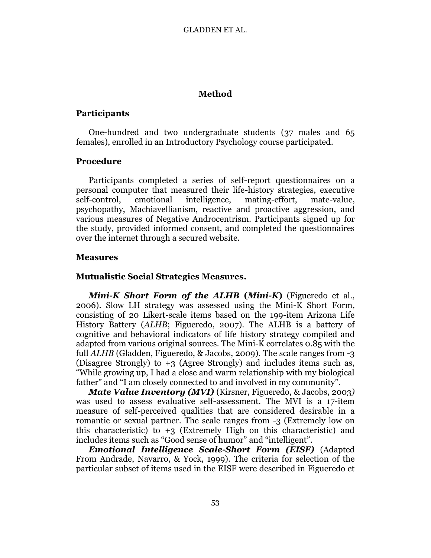#### **Method**

#### **Participants**

One-hundred and two undergraduate students (37 males and 65 females), enrolled in an Introductory Psychology course participated.

#### **Procedure**

Participants completed a series of self-report questionnaires on a personal computer that measured their life-history strategies, executive self-control, emotional intelligence, mating-effort, mate-value, psychopathy, Machiavellianism, reactive and proactive aggression, and various measures of Negative Androcentrism. Participants signed up for the study, provided informed consent, and completed the questionnaires over the internet through a secured website.

#### **Measures**

#### **Mutualistic Social Strategies Measures.**

*Mini-K Short Form of the ALHB* **(***Mini-K***)** (Figueredo et al., 2006). Slow LH strategy was assessed using the Mini-K Short Form, consisting of 20 Likert-scale items based on the 199-item Arizona Life History Battery (*ALHB*; Figueredo, 2007). The ALHB is a battery of cognitive and behavioral indicators of life history strategy compiled and adapted from various original sources. The Mini-K correlates 0.85 with the full *ALHB* (Gladden, Figueredo, & Jacobs, 2009). The scale ranges from -3 (Disagree Strongly) to +3 (Agree Strongly) and includes items such as, "While growing up, I had a close and warm relationship with my biological father" and "I am closely connected to and involved in my community".

*Mate Value Inventory (MVI)* (Kirsner, Figueredo, & Jacobs, 2003*)* was used to assess evaluative self-assessment. The MVI is a 17-item measure of self-perceived qualities that are considered desirable in a romantic or sexual partner. The scale ranges from -3 (Extremely low on this characteristic) to  $+3$  (Extremely High on this characteristic) and includes items such as "Good sense of humor" and "intelligent".

*Emotional Intelligence Scale-Short Form (EISF)* (Adapted From Andrade, Navarro, & Yock, 1999). The criteria for selection of the particular subset of items used in the EISF were described in Figueredo et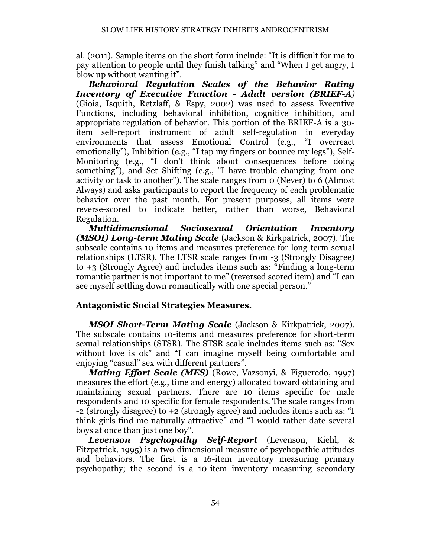al. (2011). Sample items on the short form include: "It is difficult for me to pay attention to people until they finish talking" and "When I get angry, I blow up without wanting it".

*Behavioral Regulation Scales of the Behavior Rating Inventory of Executive Function - Adult version (BRIEF-A)* (Gioia, Isquith, Retzlaff, & Espy, 2002) was used to assess Executive Functions, including behavioral inhibition, cognitive inhibition, and appropriate regulation of behavior. This portion of the BRIEF-A is a 30 item self-report instrument of adult self-regulation in everyday environments that assess Emotional Control (e.g., "I overreact emotionally"), Inhibition (e.g., "I tap my fingers or bounce my legs"), Self-Monitoring (e.g., "I don't think about consequences before doing something"), and Set Shifting (e.g., "I have trouble changing from one activity or task to another"). The scale ranges from 0 (Never) to 6 (Almost Always) and asks participants to report the frequency of each problematic behavior over the past month. For present purposes, all items were reverse-scored to indicate better, rather than worse, Behavioral Regulation.

*Multidimensional Sociosexual Orientation Inventory (MSOI) Long-term Mating Scale* (Jackson & Kirkpatrick, 2007). The subscale contains 10-items and measures preference for long-term sexual relationships (LTSR). The LTSR scale ranges from -3 (Strongly Disagree) to +3 (Strongly Agree) and includes items such as: "Finding a long-term romantic partner is not important to me" (reversed scored item) and "I can see myself settling down romantically with one special person."

# **Antagonistic Social Strategies Measures.**

*MSOI Short-Term Mating Scale* (Jackson & Kirkpatrick, 2007). The subscale contains 10-items and measures preference for short-term sexual relationships (STSR). The STSR scale includes items such as: "Sex without love is ok" and "I can imagine myself being comfortable and enjoying "casual" sex with different partners"*.*

*Mating Effort Scale (MES)* (Rowe, Vazsonyi, & Figueredo, 1997) measures the effort (e.g., time and energy) allocated toward obtaining and maintaining sexual partners. There are 10 items specific for male respondents and 10 specific for female respondents. The scale ranges from -2 (strongly disagree) to +2 (strongly agree) and includes items such as: "I think girls find me naturally attractive" and "I would rather date several boys at once than just one boy".

*Levenson Psychopathy Self-Report* (Levenson, Kiehl, & Fitzpatrick, 1995) is a two-dimensional measure of psychopathic attitudes and behaviors. The first is a 16-item inventory measuring primary psychopathy; the second is a 10-item inventory measuring secondary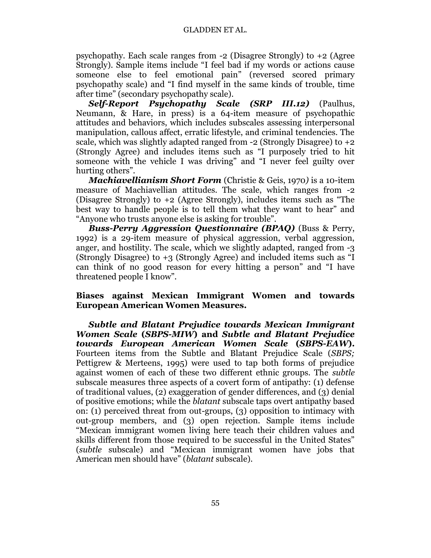psychopathy. Each scale ranges from -2 (Disagree Strongly) to +2 (Agree Strongly). Sample items include "I feel bad if my words or actions cause someone else to feel emotional pain" (reversed scored primary psychopathy scale) and "I find myself in the same kinds of trouble, time after time" (secondary psychopathy scale).

*Self-Report Psychopathy Scale (SRP III.12)* (Paulhus, Neumann, & Hare, in press) is a 64-item measure of psychopathic attitudes and behaviors, which includes subscales assessing interpersonal manipulation, callous affect, erratic lifestyle, and criminal tendencies. The scale, which was slightly adapted ranged from  $-2$  (Strongly Disagree) to  $+2$ (Strongly Agree) and includes items such as "I purposely tried to hit someone with the vehicle I was driving" and "I never feel guilty over hurting others".

*Machiavellianism Short Form* (Christie & Geis, 1970*)* is a 10-item measure of Machiavellian attitudes. The scale, which ranges from -2 (Disagree Strongly) to +2 (Agree Strongly), includes items such as "The best way to handle people is to tell them what they want to hear" and "Anyone who trusts anyone else is asking for trouble".

*Buss-Perry Aggression Questionnaire (BPAQ)* (Buss & Perry, 1992) is a 29-item measure of physical aggression, verbal aggression, anger, and hostility. The scale, which we slightly adapted, ranged from -3 (Strongly Disagree) to +3 (Strongly Agree) and included items such as "I can think of no good reason for every hitting a person" and "I have threatened people I know".

# **Biases against Mexican Immigrant Women and towards European American Women Measures.**

*Subtle and Blatant Prejudice towards Mexican Immigrant Women Scale* **(***SBPS-MIW***) and** *Subtle and Blatant Prejudice towards European American Women Scale* **(***SBPS-EAW***).** Fourteen items from the Subtle and Blatant Prejudice Scale (*SBPS;* Pettigrew & Merteens, 1995) were used to tap both forms of prejudice against women of each of these two different ethnic groups. The *subtle* subscale measures three aspects of a covert form of antipathy: (1) defense of traditional values, (2) exaggeration of gender differences, and (3) denial of positive emotions; while the *blatant* subscale taps overt antipathy based on: (1) perceived threat from out-groups, (3) opposition to intimacy with out-group members, and (3) open rejection. Sample items include "Mexican immigrant women living here teach their children values and skills different from those required to be successful in the United States" (*subtle* subscale) and "Mexican immigrant women have jobs that American men should have" (*blatant* subscale).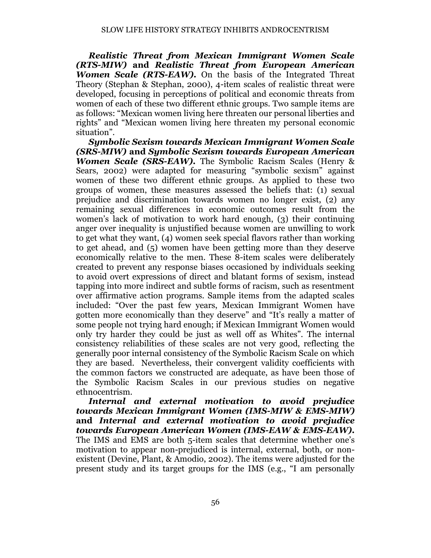*Realistic Threat from Mexican Immigrant Women Scale (RTS-MIW)* **and** *Realistic Threat from European American Women Scale (RTS-EAW).* On the basis of the Integrated Threat Theory (Stephan & Stephan, 2000), 4-item scales of realistic threat were developed, focusing in perceptions of political and economic threats from women of each of these two different ethnic groups. Two sample items are as follows: "Mexican women living here threaten our personal liberties and rights" and "Mexican women living here threaten my personal economic situation".

*Symbolic Sexism towards Mexican Immigrant Women Scale (SRS-MIW)* **and** *Symbolic Sexism towards European American Women Scale (SRS-EAW).* The Symbolic Racism Scales (Henry & Sears, 2002) were adapted for measuring "symbolic sexism" against women of these two different ethnic groups. As applied to these two groups of women, these measures assessed the beliefs that: (1) sexual prejudice and discrimination towards women no longer exist, (2) any remaining sexual differences in economic outcomes result from the women's lack of motivation to work hard enough, (3) their continuing anger over inequality is unjustified because women are unwilling to work to get what they want, (4) women seek special flavors rather than working to get ahead, and (5) women have been getting more than they deserve economically relative to the men. These 8-item scales were deliberately created to prevent any response biases occasioned by individuals seeking to avoid overt expressions of direct and blatant forms of sexism, instead tapping into more indirect and subtle forms of racism, such as resentment over affirmative action programs. Sample items from the adapted scales included: "Over the past few years, Mexican Immigrant Women have gotten more economically than they deserve" and "It's really a matter of some people not trying hard enough; if Mexican Immigrant Women would only try harder they could be just as well off as Whites". The internal consistency reliabilities of these scales are not very good, reflecting the generally poor internal consistency of the Symbolic Racism Scale on which they are based. Nevertheless, their convergent validity coefficients with the common factors we constructed are adequate, as have been those of the Symbolic Racism Scales in our previous studies on negative ethnocentrism.

*Internal and external motivation to avoid prejudice towards Mexican Immigrant Women (IMS-MIW & EMS-MIW)*  **and** *Internal and external motivation to avoid prejudice towards European American Women (IMS-EAW & EMS-EAW).* The IMS and EMS are both 5-item scales that determine whether one's motivation to appear non-prejudiced is internal, external, both, or nonexistent (Devine, Plant, & Amodio, 2002). The items were adjusted for the present study and its target groups for the IMS (e.g., "I am personally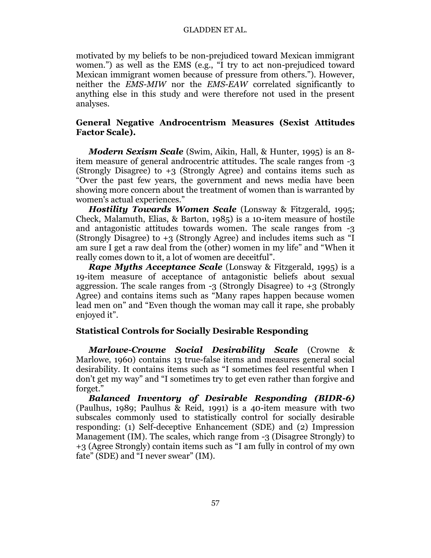#### GLADDEN ET AL.

motivated by my beliefs to be non-prejudiced toward Mexican immigrant women.") as well as the EMS (e.g., "I try to act non-prejudiced toward Mexican immigrant women because of pressure from others."). However, neither the *EMS-MIW* nor the *EMS-EAW* correlated significantly to anything else in this study and were therefore not used in the present analyses.

## **General Negative Androcentrism Measures (Sexist Attitudes Factor Scale).**

*Modern Sexism Scale* (Swim, Aikin, Hall, & Hunter, 1995) is an 8 item measure of general androcentric attitudes. The scale ranges from -3 (Strongly Disagree) to  $+3$  (Strongly Agree) and contains items such as "Over the past few years, the government and news media have been showing more concern about the treatment of women than is warranted by women's actual experiences."

*Hostility Towards Women Scale* (Lonsway & Fitzgerald, 1995; Check, Malamuth, Elias, & Barton, 1985) is a 10-item measure of hostile and antagonistic attitudes towards women. The scale ranges from -3 (Strongly Disagree) to +3 (Strongly Agree) and includes items such as "I am sure I get a raw deal from the (other) women in my life" and "When it really comes down to it, a lot of women are deceitful".

*Rape Myths Acceptance Scale* (Lonsway & Fitzgerald, 1995) is a 19-item measure of acceptance of antagonistic beliefs about sexual aggression. The scale ranges from  $-3$  (Strongly Disagree) to  $+3$  (Strongly Agree) and contains items such as "Many rapes happen because women lead men on" and "Even though the woman may call it rape, she probably enjoyed it".

#### **Statistical Controls for Socially Desirable Responding**

*Marlowe-Crowne Social Desirability Scale* (Crowne & Marlowe, 1960) contains 13 true-false items and measures general social desirability. It contains items such as "I sometimes feel resentful when I don't get my way" and "I sometimes try to get even rather than forgive and forget."

*Balanced Inventory of Desirable Responding (BIDR-6)* (Paulhus, 1989; Paulhus & Reid, 1991) is a 40-item measure with two subscales commonly used to statistically control for socially desirable responding: (1) Self-deceptive Enhancement (SDE) and (2) Impression Management (IM). The scales, which range from -3 (Disagree Strongly) to +3 (Agree Strongly) contain items such as "I am fully in control of my own fate" (SDE) and "I never swear" (IM).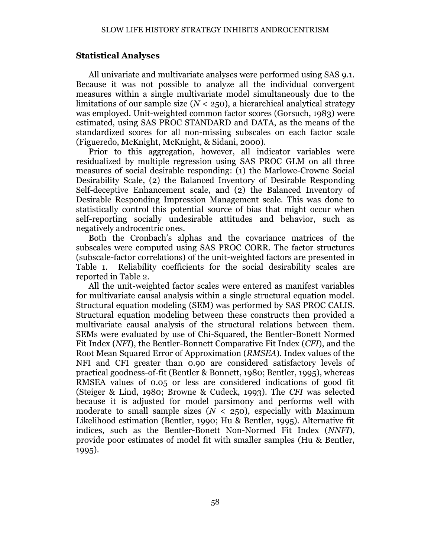#### **Statistical Analyses**

All univariate and multivariate analyses were performed using SAS 9.1. Because it was not possible to analyze all the individual convergent measures within a single multivariate model simultaneously due to the limitations of our sample size  $(N < 250)$ , a hierarchical analytical strategy was employed. Unit-weighted common factor scores (Gorsuch, 1983) were estimated, using SAS PROC STANDARD and DATA, as the means of the standardized scores for all non-missing subscales on each factor scale (Figueredo, McKnight, McKnight, & Sidani, 2000).

Prior to this aggregation, however, all indicator variables were residualized by multiple regression using SAS PROC GLM on all three measures of social desirable responding: (1) the Marlowe-Crowne Social Desirability Scale, (2) the Balanced Inventory of Desirable Responding Self-deceptive Enhancement scale, and (2) the Balanced Inventory of Desirable Responding Impression Management scale. This was done to statistically control this potential source of bias that might occur when self-reporting socially undesirable attitudes and behavior, such as negatively androcentric ones.

Both the Cronbach's alphas and the covariance matrices of the subscales were computed using SAS PROC CORR. The factor structures (subscale-factor correlations) of the unit-weighted factors are presented in Table 1. Reliability coefficients for the social desirability scales are reported in Table 2.

All the unit-weighted factor scales were entered as manifest variables for multivariate causal analysis within a single structural equation model. Structural equation modeling (SEM) was performed by SAS PROC CALIS. Structural equation modeling between these constructs then provided a multivariate causal analysis of the structural relations between them. SEMs were evaluated by use of Chi-Squared, the Bentler-Bonett Normed Fit Index (*NFI*), the Bentler-Bonnett Comparative Fit Index (*CFI*), and the Root Mean Squared Error of Approximation (*RMSEA*). Index values of the NFI and CFI greater than 0.90 are considered satisfactory levels of practical goodness-of-fit (Bentler & Bonnett, 1980; Bentler, 1995), whereas RMSEA values of 0.05 or less are considered indications of good fit (Steiger & Lind, 1980; Browne & Cudeck, 1993). The *CFI* was selected because it is adjusted for model parsimony and performs well with moderate to small sample sizes  $(N < 250)$ , especially with Maximum Likelihood estimation (Bentler, 1990; Hu & Bentler, 1995). Alternative fit indices, such as the Bentler-Bonett Non-Normed Fit Index (*NNFI*), provide poor estimates of model fit with smaller samples (Hu & Bentler, 1995).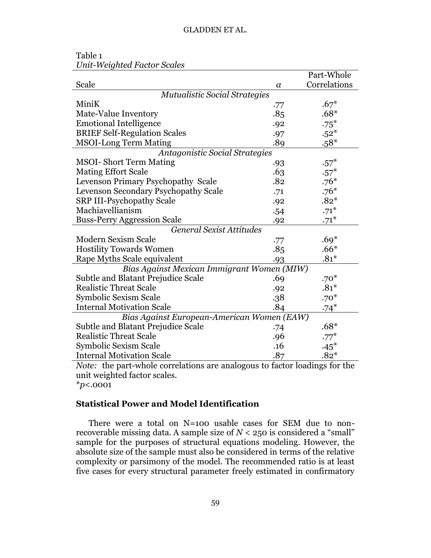| Table 1                            |
|------------------------------------|
| <b>Unit-Weighted Factor Scales</b> |

|                                                                                   |          | Part-Whole   |  |
|-----------------------------------------------------------------------------------|----------|--------------|--|
| Scale                                                                             | $\alpha$ | Correlations |  |
| <b>Mutualistic Social Strategies</b>                                              |          |              |  |
| MiniK                                                                             | .77      | $.67*$       |  |
| Mate-Value Inventory                                                              | .85      | $.68*$       |  |
| <b>Emotional Intelligence</b>                                                     | .92      | $.75*$       |  |
| <b>BRIEF Self-Regulation Scales</b>                                               | .97      | $.52*$       |  |
| <b>MSOI-Long Term Mating</b>                                                      | .89      | $.58*$       |  |
| <b>Antagonistic Social Strategies</b>                                             |          |              |  |
| <b>MSOI-Short Term Mating</b>                                                     | .93      | $.57*$       |  |
| <b>Mating Effort Scale</b>                                                        | .63      | $.57*$       |  |
| Levenson Primary Psychopathy Scale                                                | .82      | $.76*$       |  |
| Levenson Secondary Psychopathy Scale                                              | .71      | $.76*$       |  |
| <b>SRP III-Psychopathy Scale</b>                                                  | .92      | $.82*$       |  |
| Machiavellianism                                                                  | .54      | $.71*$       |  |
| <b>Buss-Perry Aggression Scale</b>                                                | .92      | $.71*$       |  |
| <b>General Sexist Attitudes</b>                                                   |          |              |  |
| <b>Modern Sexism Scale</b>                                                        | .77      | $.69*$       |  |
| <b>Hostility Towards Women</b>                                                    | .85      | $.66*$       |  |
| Rape Myths Scale equivalent                                                       | .93      | $.81*$       |  |
| Bias Against Mexican Immigrant Women (MIW)                                        |          |              |  |
| Subtle and Blatant Prejudice Scale                                                | .69      | $.70*$       |  |
| <b>Realistic Threat Scale</b>                                                     | .92      | $.81*$       |  |
| Symbolic Sexism Scale                                                             | .38      | $.70*$       |  |
| <b>Internal Motivation Scale</b>                                                  | .84      | $.74*$       |  |
| Bias Against European-American Women (EAW)                                        |          |              |  |
| Subtle and Blatant Prejudice Scale                                                | .74      | $.68*$       |  |
| <b>Realistic Threat Scale</b>                                                     | .96      | $.77*$       |  |
| Symbolic Sexism Scale                                                             | .16      | $.45*$       |  |
| <b>Internal Motivation Scale</b>                                                  | .87      | $.82*$       |  |
| <i>Note:</i> the part-whole correlations are analogous to factor loadings for the |          |              |  |
| unit weighted factor scales.                                                      |          |              |  |

\**p*<.0001

# **Statistical Power and Model Identification**

There were a total on N=100 usable cases for SEM due to nonrecoverable missing data. A sample size of *N* < 250 is considered a "small" sample for the purposes of structural equations modeling. However, the absolute size of the sample must also be considered in terms of the relative complexity or parsimony of the model. The recommended ratio is at least five cases for every structural parameter freely estimated in confirmatory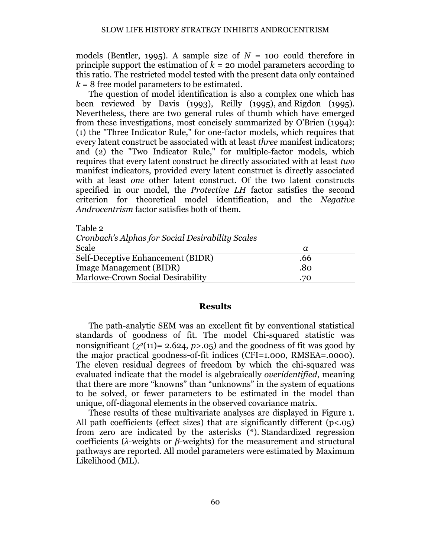models (Bentler, 1995). A sample size of  $N = 100$  could therefore in principle support the estimation of  $k = 20$  model parameters according to this ratio. The restricted model tested with the present data only contained *k* = 8 free model parameters to be estimated.

The question of model identification is also a complex one which has been reviewed by Davis (1993), Reilly (1995), and Rigdon (1995). Nevertheless, there are two general rules of thumb which have emerged from these investigations, most concisely summarized by O'Brien (1994): (1) the "Three Indicator Rule," for one-factor models, which requires that every latent construct be associated with at least *three* manifest indicators; and (2) the "Two Indicator Rule," for multiple-factor models, which requires that every latent construct be directly associated with at least *two* manifest indicators, provided every latent construct is directly associated with at least *one* other latent construct. Of the two latent constructs specified in our model, the *Protective LH* factor satisfies the second criterion for theoretical model identification, and the *Negative Androcentrism* factor satisfies both of them.

Table 2

| Cronbach's Alphas for Social Desirability Scales |     |
|--------------------------------------------------|-----|
| Scale                                            |     |
| Self-Deceptive Enhancement (BIDR)                | .66 |
| <b>Image Management (BIDR)</b>                   | .80 |
| Marlowe-Crown Social Desirability                | .70 |

#### **Results**

The path-analytic SEM was an excellent fit by conventional statistical standards of goodness of fit. The model Chi-squared statistic was nonsignificant ( $\gamma^2(11)$ = 2.624, *p*>.05) and the goodness of fit was good by the major practical goodness-of-fit indices (CFI=1.000, RMSEA=.0000). The eleven residual degrees of freedom by which the chi-squared was evaluated indicate that the model is algebraically *overidentified*, meaning that there are more "knowns" than "unknowns" in the system of equations to be solved, or fewer parameters to be estimated in the model than unique, off-diagonal elements in the observed covariance matrix.

These results of these multivariate analyses are displayed in Figure 1. All path coefficients (effect sizes) that are significantly different  $(p<0.05)$ from zero are indicated by the asterisks (\*). Standardized regression coefficients (*λ*-weights or *β*-weights) for the measurement and structural pathways are reported. All model parameters were estimated by Maximum Likelihood (ML).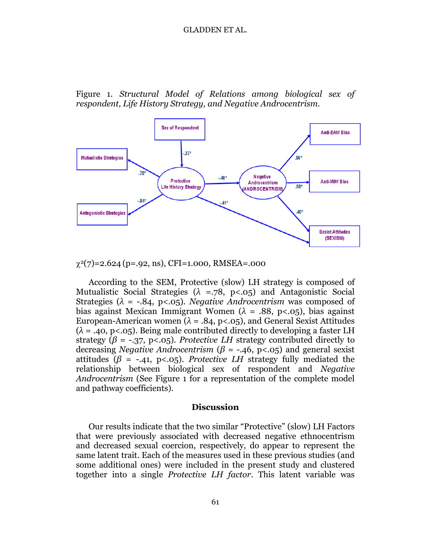Figure 1. *Structural Model of Relations among biological sex of respondent, Life History Strategy, and Negative Androcentrism.*



 $\gamma^2(7)=2.624$  (p=.92, ns), CFI=1.000, RMSEA=.000

According to the SEM, Protective (slow) LH strategy is composed of Mutualistic Social Strategies (*λ* =.78, p<.05) and Antagonistic Social Strategies ( $\lambda$  = -.84, p<.05). *Negative Androcentrism* was composed of bias against Mexican Immigrant Women ( $\lambda = .88$ , p<.05), bias against European-American women ( $\lambda = .84$ , p<.05), and General Sexist Attitudes  $(\lambda = .40, p < .05)$ . Being male contributed directly to developing a faster LH strategy ( $\beta$  = -.37, p<.05). *Protective LH* strategy contributed directly to decreasing *Negative Androcentrism* ( $\beta$  = -.46, p<.05) and general sexist attitudes ( $\beta$  = -.41, p<.05). *Protective LH* strategy fully mediated the relationship between biological sex of respondent and *Negative Androcentrism* (See Figure 1 for a representation of the complete model and pathway coefficients).

#### **Discussion**

Our results indicate that the two similar "Protective" (slow) LH Factors that were previously associated with decreased negative ethnocentrism and decreased sexual coercion, respectively, do appear to represent the same latent trait. Each of the measures used in these previous studies (and some additional ones) were included in the present study and clustered together into a single *Protective LH factor*. This latent variable was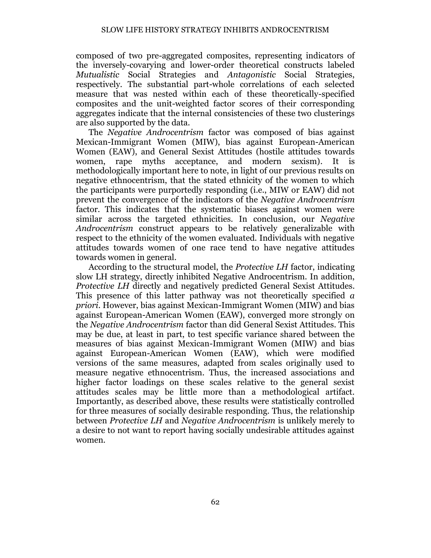composed of two pre-aggregated composites, representing indicators of the inversely-covarying and lower-order theoretical constructs labeled *Mutualistic* Social Strategies and *Antagonistic* Social Strategies, respectively. The substantial part-whole correlations of each selected measure that was nested within each of these theoretically-specified composites and the unit-weighted factor scores of their corresponding aggregates indicate that the internal consistencies of these two clusterings are also supported by the data.

The *Negative Androcentrism* factor was composed of bias against Mexican-Immigrant Women (MIW), bias against European-American Women (EAW), and General Sexist Attitudes (hostile attitudes towards women, rape myths acceptance, and modern sexism). It is methodologically important here to note, in light of our previous results on negative ethnocentrism, that the stated ethnicity of the women to which the participants were purportedly responding (i.e., MIW or EAW) did not prevent the convergence of the indicators of the *Negative Androcentrism* factor. This indicates that the systematic biases against women were similar across the targeted ethnicities. In conclusion, our *Negative Androcentrism* construct appears to be relatively generalizable with respect to the ethnicity of the women evaluated. Individuals with negative attitudes towards women of one race tend to have negative attitudes towards women in general.

According to the structural model, the *Protective LH* factor, indicating slow LH strategy, directly inhibited Negative Androcentrism. In addition, *Protective LH* directly and negatively predicted General Sexist Attitudes. This presence of this latter pathway was not theoretically specified *a priori*. However, bias against Mexican-Immigrant Women (MIW) and bias against European-American Women (EAW), converged more strongly on the *Negative Androcentrism* factor than did General Sexist Attitudes. This may be due, at least in part, to test specific variance shared between the measures of bias against Mexican-Immigrant Women (MIW) and bias against European-American Women (EAW), which were modified versions of the same measures, adapted from scales originally used to measure negative ethnocentrism. Thus, the increased associations and higher factor loadings on these scales relative to the general sexist attitudes scales may be little more than a methodological artifact. Importantly, as described above, these results were statistically controlled for three measures of socially desirable responding. Thus, the relationship between *Protective LH* and *Negative Androcentrism* is unlikely merely to a desire to not want to report having socially undesirable attitudes against women.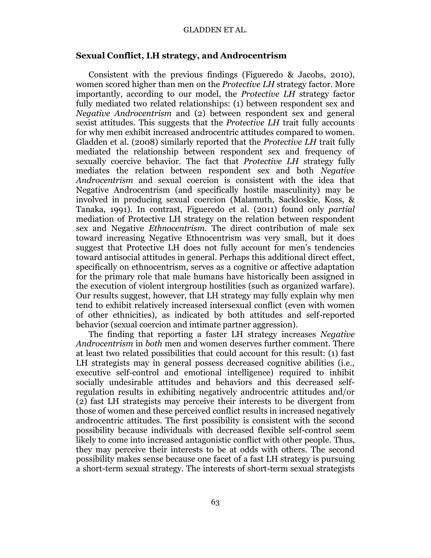#### GLADDEN ET AL.

#### **Sexual Conflict, LH strategy, and Androcentrism**

Consistent with the previous findings (Figueredo & Jacobs, 2010), women scored higher than men on the *Protective LH* strategy factor. More importantly, according to our model, the *Protective LH* strategy factor fully mediated two related relationships: (1) between respondent sex and *Negative Androcentrism* and (2) between respondent sex and general sexist attitudes. This suggests that the *Protective LH* trait fully accounts for why men exhibit increased androcentric attitudes compared to women. Gladden et al. (2008) similarly reported that the *Protective LH* trait fully mediated the relationship between respondent sex and frequency of sexually coercive behavior. The fact that *Protective LH* strategy fully mediates the relation between respondent sex and both *Negative Androcentrism* and sexual coercion is consistent with the idea that Negative Androcentrism (and specifically hostile masculinity) may be involved in producing sexual coercion (Malamuth, Sackloskie, Koss, & Tanaka, 1991). In contrast, Figueredo et al. (2011) found only *partial*  mediation of Protective LH strategy on the relation between respondent sex and Negative *Ethnocentrism*. The direct contribution of male sex toward increasing Negative Ethnocentrism was very small, but it does suggest that Protective LH does not fully account for men's tendencies toward antisocial attitudes in general. Perhaps this additional direct effect, specifically on ethnocentrism, serves as a cognitive or affective adaptation for the primary role that male humans have historically been assigned in the execution of violent intergroup hostilities (such as organized warfare). Our results suggest, however, that LH strategy may fully explain why men tend to exhibit relatively increased intersexual conflict (even with women of other ethnicities), as indicated by both attitudes and self-reported behavior (sexual coercion and intimate partner aggression).

The finding that reporting a faster LH strategy increases *Negative Androcentrism* in *both* men and women deserves further comment. There at least two related possibilities that could account for this result: (1) fast LH strategists may in general possess decreased cognitive abilities (i.e., executive self-control and emotional intelligence) required to inhibit socially undesirable attitudes and behaviors and this decreased selfregulation results in exhibiting negatively androcentric attitudes and/or (2) fast LH strategists may perceive their interests to be divergent from those of women and these perceived conflict results in increased negatively androcentric attitudes. The first possibility is consistent with the second possibility because individuals with decreased flexible self-control seem likely to come into increased antagonistic conflict with other people. Thus, they may perceive their interests to be at odds with others. The second possibility makes sense because one facet of a fast LH strategy is pursuing a short-term sexual strategy. The interests of short-term sexual strategists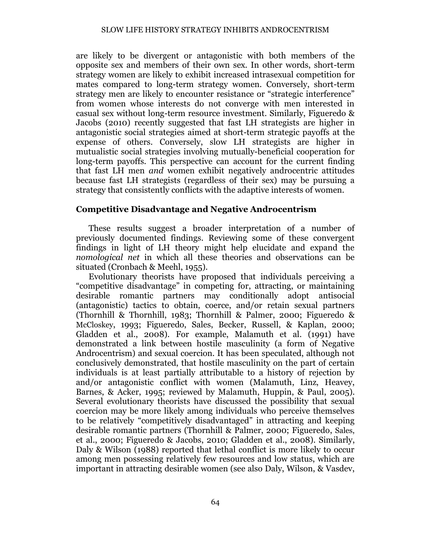are likely to be divergent or antagonistic with both members of the opposite sex and members of their own sex. In other words, short-term strategy women are likely to exhibit increased intrasexual competition for mates compared to long-term strategy women. Conversely, short-term strategy men are likely to encounter resistance or "strategic interference" from women whose interests do not converge with men interested in casual sex without long-term resource investment. Similarly, Figueredo & Jacobs (2010) recently suggested that fast LH strategists are higher in antagonistic social strategies aimed at short-term strategic payoffs at the expense of others. Conversely, slow LH strategists are higher in mutualistic social strategies involving mutually-beneficial cooperation for long-term payoffs. This perspective can account for the current finding that fast LH men *and* women exhibit negatively androcentric attitudes because fast LH strategists (regardless of their sex) may be pursuing a strategy that consistently conflicts with the adaptive interests of women.

# **Competitive Disadvantage and Negative Androcentrism**

These results suggest a broader interpretation of a number of previously documented findings. Reviewing some of these convergent findings in light of LH theory might help elucidate and expand the *nomological net* in which all these theories and observations can be situated (Cronbach & Meehl, 1955).

Evolutionary theorists have proposed that individuals perceiving a "competitive disadvantage" in competing for, attracting, or maintaining desirable romantic partners may conditionally adopt antisocial (antagonistic) tactics to obtain, coerce, and/or retain sexual partners (Thornhill & Thornhill, 1983; Thornhill & Palmer, 2000; Figueredo & McCloskey, 1993; Figueredo, Sales, Becker, Russell, & Kaplan, 2000; Gladden et al., 2008). For example, Malamuth et al. (1991) have demonstrated a link between hostile masculinity (a form of Negative Androcentrism) and sexual coercion. It has been speculated, although not conclusively demonstrated, that hostile masculinity on the part of certain individuals is at least partially attributable to a history of rejection by and/or antagonistic conflict with women (Malamuth, Linz, Heavey, Barnes, & Acker, 1995; reviewed by Malamuth, Huppin, & Paul, 2005). Several evolutionary theorists have discussed the possibility that sexual coercion may be more likely among individuals who perceive themselves to be relatively "competitively disadvantaged" in attracting and keeping desirable romantic partners (Thornhill & Palmer, 2000; Figueredo, Sales, et al., 2000; Figueredo & Jacobs, 2010; Gladden et al., 2008). Similarly, Daly & Wilson (1988) reported that lethal conflict is more likely to occur among men possessing relatively few resources and low status, which are important in attracting desirable women (see also Daly, Wilson, & Vasdev,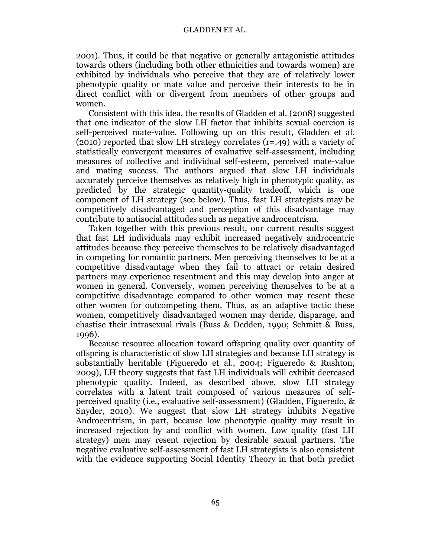2001). Thus, it could be that negative or generally antagonistic attitudes towards others (including both other ethnicities and towards women) are exhibited by individuals who perceive that they are of relatively lower phenotypic quality or mate value and perceive their interests to be in direct conflict with or divergent from members of other groups and women.

Consistent with this idea, the results of Gladden et al. (2008) suggested that one indicator of the slow LH factor that inhibits sexual coercion is self-perceived mate-value. Following up on this result, Gladden et al.  $(2010)$  reported that slow LH strategy correlates  $(r=.49)$  with a variety of statistically convergent measures of evaluative self-assessment, including measures of collective and individual self-esteem, perceived mate-value and mating success. The authors argued that slow LH individuals accurately perceive themselves as relatively high in phenotypic quality, as predicted by the strategic quantity-quality tradeoff, which is one component of LH strategy (see below). Thus, fast LH strategists may be competitively disadvantaged and perception of this disadvantage may contribute to antisocial attitudes such as negative androcentrism.

Taken together with this previous result, our current results suggest that fast LH individuals may exhibit increased negatively androcentric attitudes because they perceive themselves to be relatively disadvantaged in competing for romantic partners. Men perceiving themselves to be at a competitive disadvantage when they fail to attract or retain desired partners may experience resentment and this may develop into anger at women in general. Conversely, women perceiving themselves to be at a competitive disadvantage compared to other women may resent these other women for outcompeting them. Thus, as an adaptive tactic these women, competitively disadvantaged women may deride, disparage, and chastise their intrasexual rivals (Buss & Dedden, 1990; Schmitt & Buss, 1996).

Because resource allocation toward offspring quality over quantity of offspring is characteristic of slow LH strategies and because LH strategy is substantially heritable (Figueredo et al., 2004; Figueredo & Rushton, 2009), LH theory suggests that fast LH individuals will exhibit decreased phenotypic quality. Indeed, as described above, slow LH strategy correlates with a latent trait composed of various measures of selfperceived quality (i.e., evaluative self-assessment) (Gladden, Figueredo, & Snyder, 2010). We suggest that slow LH strategy inhibits Negative Androcentrism, in part, because low phenotypic quality may result in increased rejection by and conflict with women. Low quality (fast LH strategy) men may resent rejection by desirable sexual partners. The negative evaluative self-assessment of fast LH strategists is also consistent with the evidence supporting Social Identity Theory in that both predict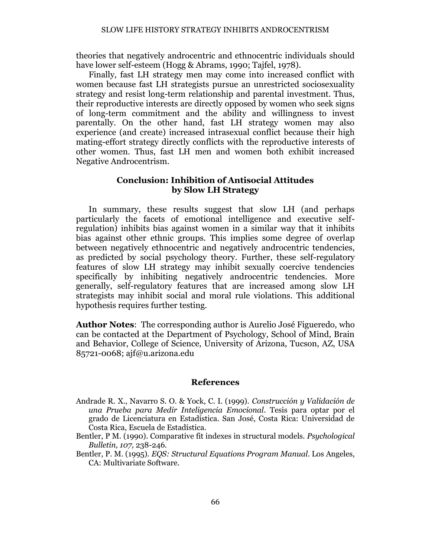theories that negatively androcentric and ethnocentric individuals should have lower self-esteem (Hogg & Abrams, 1990; Tajfel, 1978).

Finally, fast LH strategy men may come into increased conflict with women because fast LH strategists pursue an unrestricted sociosexuality strategy and resist long-term relationship and parental investment. Thus, their reproductive interests are directly opposed by women who seek signs of long-term commitment and the ability and willingness to invest parentally. On the other hand, fast LH strategy women may also experience (and create) increased intrasexual conflict because their high mating-effort strategy directly conflicts with the reproductive interests of other women. Thus, fast LH men and women both exhibit increased Negative Androcentrism.

## **Conclusion: Inhibition of Antisocial Attitudes by Slow LH Strategy**

In summary, these results suggest that slow LH (and perhaps particularly the facets of emotional intelligence and executive selfregulation) inhibits bias against women in a similar way that it inhibits bias against other ethnic groups. This implies some degree of overlap between negatively ethnocentric and negatively androcentric tendencies, as predicted by social psychology theory. Further, these self-regulatory features of slow LH strategy may inhibit sexually coercive tendencies specifically by inhibiting negatively androcentric tendencies. More generally, self-regulatory features that are increased among slow LH strategists may inhibit social and moral rule violations. This additional hypothesis requires further testing.

**Author Notes**: The corresponding author is Aurelio José Figueredo, who can be contacted at the Department of Psychology, School of Mind, Brain and Behavior, College of Science, University of Arizona, Tucson, AZ, USA 85721-0068; [ajf@u.arizona.edu](mailto:ajf@u.arizona.edu)

#### **References**

- Andrade R. X., Navarro S. O. & Yock, C. I. (1999). *Construcción y Validación de una Prueba para Medir Inteligencia Emocional*. Tesis para optar por el grado de Licenciatura en Estadística. San José, Costa Rica: Universidad de Costa Rica, Escuela de Estadística.
- Bentler, P M. (1990). Comparative fit indexes in structural models. *Psychological Bulletin, 107,* 238-246.
- Bentler, P. M. (1995). *EQS: Structural Equations Program Manual*. Los Angeles, CA: Multivariate Software.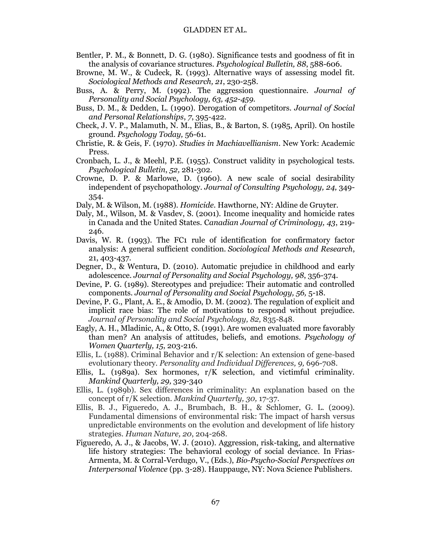- Bentler, P. M., & Bonnett, D. G. (1980). Significance tests and goodness of fit in the analysis of covariance structures. *Psychological Bulletin, 88*, 588-606.
- Browne, M. W., & Cudeck, R. (1993). Alternative ways of assessing model fit. *Sociological Methods and Research, 21*, 230-258.
- Buss, A. & Perry, M. (1992). The aggression questionnaire. *Journal of Personality and Social Psychology, 63, 452-459.*
- Buss, D. M., & Dedden, L. (1990). Derogation of competitors. *Journal of Social and Personal Relationships*, *7*, 395-422.
- Check, J. V. P., Malamuth, N. M., Elias, B., & Barton, S. (1985, April). On hostile ground. *Psychology Today,* 56-61.
- Christie, R. & Geis, F. (1970). *Studies in Machiavellianism*. New York: Academic Press.
- Cronbach, L. J., & Meehl, P.E. (1955). Construct validity in psychological tests. *Psychological Bulletin*, *52,* 281-302.
- Crowne, D. P. & Marlowe, D. (1960). A new scale of social desirability independent of psychopathology. *Journal of Consulting Psychology, 24,* 349- 354.
- Daly, M. & Wilson, M. (1988). *Homicide*. Hawthorne, NY: Aldine de Gruyter.
- Daly, M., Wilson, M. & Vasdev, S. (2001). Income inequality and homicide rates in Canada and the United States. C*anadian Journal of Criminology, 43*, 219- 246.
- Davis, W. R. (1993). The FC1 rule of identification for confirmatory factor analysis: A general sufficient condition. *Sociological Methods and Research*, 21, 403-437.
- Degner, D., & Wentura, D. (2010). Automatic prejudice in childhood and early adolescence. *Journal of Personality and Social Psychology, 98*, 356-374.
- Devine, P. G. (1989). Stereotypes and prejudice: Their automatic and controlled components. *Journal of Personality and Social Psychology, 56,* 5-18.
- Devine, P. G., Plant, A. E., & Amodio, D. M. (2002). The regulation of explicit and implicit race bias: The role of motivations to respond without prejudice. *Journal of Personality and Social Psychology, 82,* 835-848.
- Eagly, A. H., Mladinic, A., & Otto, S. (1991). Are women evaluated more favorably than men? An analysis of attitudes, beliefs, and emotions. *Psychology of Women Quarterly, 15*, 203-216.
- Ellis, L. (1988). Criminal Behavior and r/K selection: An extension of gene-based evolutionary theory. *Personality and Individual Differences, 9,* 696-708.
- Ellis, L. (1989a). Sex hormones, r/K selection, and victimful criminality. *Mankind Quarterly, 29,* 329-340
- Ellis, L. (1989b). Sex differences in criminality: An explanation based on the concept of r/K selection. *Mankind Quarterly, 30,* 17-37.
- Ellis, B. J., Figueredo, A. J., Brumbach, B. H., & Schlomer, G. L. (2009). Fundamental dimensions of environmental risk: The impact of harsh versus unpredictable environments on the evolution and development of life history strategies. *Human Nature, 20*, 204-268.
- Figueredo, A. J., & Jacobs, W. J. (2010). Aggression, risk-taking, and alternative life history strategies: The behavioral ecology of social deviance. In Frias-Armenta, M. & Corral-Verdugo, V., (Eds.), *Bio-Psycho-Social Perspectives on Interpersonal Violence* (pp. 3-28). Hauppauge, NY: Nova Science Publishers.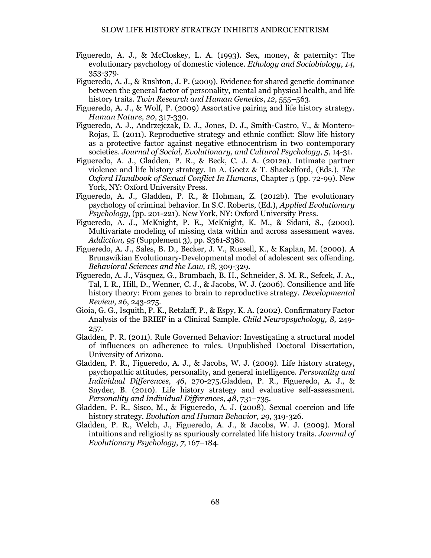- Figueredo, A. J., & McCloskey, L. A. (1993). Sex, money, & paternity: The evolutionary psychology of domestic violence*. Ethology and Sociobiology*, *14,* 353-379.
- Figueredo, A. J., & Rushton, J. P. (2009). Evidence for shared genetic dominance between the general factor of personality, mental and physical health, and life history traits. *Twin Research and Human Genetics*, *12*, 555–563.
- Figueredo, A. J., & Wolf, P. (2009) Assortative pairing and life history strategy. *Human Nature, 20,* 317-330.
- Figueredo, A. J., Andrzejczak, D. J., Jones, D. J., Smith-Castro, V., & Montero-Rojas, E. (2011). Reproductive strategy and ethnic conflict: Slow life history as a protective factor against negative ethnocentrism in two contemporary societies. *Journal of Social, Evolutionary, and Cultural Psychology*, *5*, 14-31.
- Figueredo, A. J., Gladden, P. R., & Beck, C. J. A. (2012a). Intimate partner violence and life history strategy. In A. Goetz & T. Shackelford, (Eds.), *The Oxford Handbook of Sexual Conflict In Humans*, Chapter 5 (pp. 72-99). New York, NY: Oxford University Press.
- Figueredo, A. J., Gladden, P. R., & Hohman, Z. (2012b). The evolutionary psychology of criminal behavior. In S.C. Roberts, (Ed.), *Applied Evolutionary Psychology*, (pp. 201-221). New York, NY: Oxford University Press.
- Figueredo, A. J., McKnight, P. E., McKnight, K. M., & Sidani, S., (2000). Multivariate modeling of missing data within and across assessment waves. *Addiction, 95* (Supplement 3), pp. S361-S380.
- Figueredo, A. J., Sales, B. D., Becker, J. V., Russell, K., & Kaplan, M. (2000). A Brunswikian Evolutionary-Developmental model of adolescent sex offending. *Behavioral Sciences and the Law, 18,* 309-329*.*
- Figueredo, A. J., Vásquez, G., Brumbach, B. H., Schneider, S. M. R., Sefcek, J. A., Tal, I. R., Hill, D., Wenner, C. J., & Jacobs, W. J. (2006). Consilience and life history theory: From genes to brain to reproductive strategy. *Developmental Review, 26*, 243-275.
- Gioia, G. G., Isquith, P. K., Retzlaff, P., & Espy, K. A. (2002). Confirmatory Factor Analysis of the BRIEF in a Clinical Sample. *Child Neuropsychology, 8,* 249- 257.
- Gladden, P. R. (2011). Rule Governed Behavior: Investigating a structural model of influences on adherence to rules. Unpublished Doctoral Dissertation, University of Arizona.
- Gladden, P. R., Figueredo, A. J., & Jacobs, W. J. (2009). Life history strategy, psychopathic attitudes, personality, and general intelligence. *Personality and Individual Differences, 46*, 270-275.Gladden, P. R., Figueredo, A. J., & Snyder, B. (2010). Life history strategy and evaluative self-assessment. *Personality and Individual Differences*, *48*, 731–735.
- Gladden, P. R., Sisco, M., & Figueredo, A. J. (2008). Sexual coercion and life history strategy. *Evolution and Human Behavior, 29*, 319-326.
- Gladden, P. R., Welch, J., Figueredo, A. J., & Jacobs, W. J. (2009). Moral intuitions and religiosity as spuriously correlated life history traits. *Journal of Evolutionary Psychology*, *7*, 167–184.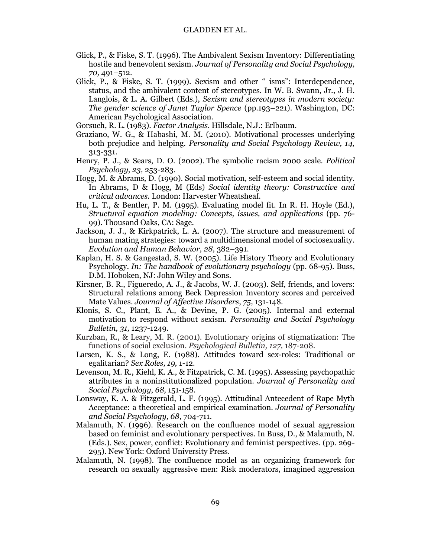- Glick, P., & Fiske, S. T. (1996). The Ambivalent Sexism Inventory: Differentiating hostile and benevolent sexism. *Journal of Personality and Social Psychology, 70,* 491–512.
- Glick, P., & Fiske, S. T. (1999). Sexism and other " isms": Interdependence, status, and the ambivalent content of stereotypes. In W. B. Swann, Jr., J. H. Langlois, & L. A. Gilbert (Eds.), *Sexism and stereotypes in modern society: The gender science of Janet Taylor Spence* (pp.193–221). Washington, DC: American Psychological Association.
- Gorsuch, R. L. (1983). *Factor Analysis.* Hillsdale, N.J.: Erlbaum.
- Graziano, W. G., & Habashi, M. M. (2010). Motivational processes underlying both prejudice and helping. *Personality and Social Psychology Review, 14,* 313-331.
- Henry, P. J., & Sears, D. O. (2002). The symbolic racism 2000 scale. *Political Psychology, 23,* 253-283.
- Hogg, M. & Abrams, D. (1990). Social motivation, self-esteem and social identity. In Abrams, D & Hogg, M (Eds) *Social identity theory: Constructive and critical advances.* London: Harvester Wheatsheaf.
- Hu, L. T., & Bentler, P. M. (1995). Evaluating model fit. In R. H. Hoyle (Ed.), *Structural equation modeling: Concepts, issues, and applications* (pp. 76- 99). Thousand Oaks, CA: Sage.
- Jackson, J. J., & Kirkpatrick, L. A. (2007). The structure and measurement of human mating strategies: toward a multidimensional model of sociosexuality. *Evolution and Human Behavior, 28,* 382–391.
- Kaplan, H. S. & Gangestad, S. W. (2005). Life History Theory and Evolutionary Psychology. *In: The handbook of evolutionary psychology* (pp. 68-95)*.* Buss, D.M. Hoboken, NJ: John Wiley and Sons.
- Kirsner, B. R., Figueredo, A. J., & Jacobs, W. J. (2003). Self, friends, and lovers: Structural relations among Beck Depression Inventory scores and perceived Mate Values. *Journal of Affective Disorders*, *75,* 131-148.
- Klonis, S. C., Plant, E. A., & Devine, P. G. (2005). Internal and external motivation to respond without sexism. *Personality and Social Psychology Bulletin, 31,* 1237-1249.
- Kurzban, R., & Leary, M. R. (2001). Evolutionary origins of stigmatization: The functions of social exclusion. *Psychological Bulletin, 127,* 187-208.
- Larsen, K. S., & Long, E. (1988). Attitudes toward sex-roles: Traditional or egalitarian? *Sex Roles, 19,* 1-12.
- Levenson, M. R., Kiehl, K. A., & Fitzpatrick, C. M. (1995). Assessing psychopathic attributes in a noninstitutionalized population. *Journal of Personality and Social Psychology*, *68,* 151-158.
- Lonsway, K. A. & Fitzgerald, L. F. (1995). Attitudinal Antecedent of Rape Myth Acceptance: a theoretical and empirical examination. *Journal of Personality and Social Psychology, 68*, 704-711.
- Malamuth, N. (1996). Research on the confluence model of sexual aggression based on feminist and evolutionary perspectives. In Buss, D., & Malamuth, N. (Eds.). Sex, power, conflict: Evolutionary and feminist perspectives. (pp. 269- 295). New York: Oxford University Press.
- Malamuth, N. (1998). The confluence model as an organizing framework for research on sexually aggressive men: Risk moderators, imagined aggression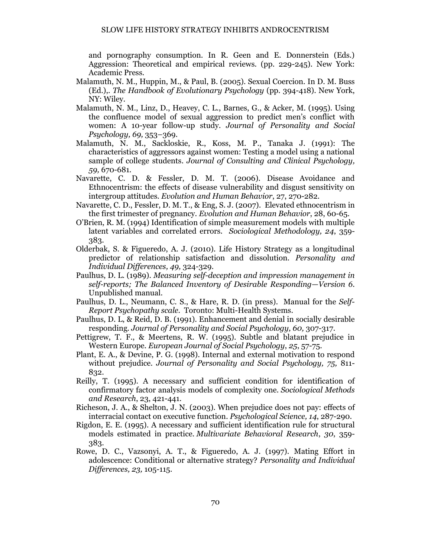and pornography consumption. In R. Geen and E. Donnerstein (Eds.) Aggression: Theoretical and empirical reviews. (pp. 229-245). New York: Academic Press.

- Malamuth, N. M., Huppin, M., & Paul, B. (2005). Sexual Coercion*.* In D. M. Buss (Ed.),. *The Handbook of Evolutionary Psychology* (pp. 394-418). New York, NY: Wiley.
- Malamuth, N. M., Linz, D., Heavey, C. L., Barnes, G., & Acker, M. (1995). Using the confluence model of sexual aggression to predict men's conflict with women: A 10-year follow-up study. *Journal of Personality and Social Psychology, 69,* 353–369.
- Malamuth, N. M., Sackloskie, R., Koss, M. P., Tanaka J. (1991): The characteristics of aggressors against women: Testing a model using a national sample of college students. *Journal of Consulting and Clinical Psychology, 59,* 670-681.
- Navarette, C. D. & Fessler, D. M. T. (2006). Disease Avoidance and Ethnocentrism: the effects of disease vulnerability and disgust sensitivity on intergroup attitudes. *Evolution and Human Behavior*, 27, 270-282.
- Navarette, C. D., Fessler, D. M. T., & Eng, S. J. (2007). Elevated ethnocentrism in the first trimester of pregnancy. *Evolution and Human Behavior*, 28, 60-65.
- O'Brien, R. M. (1994) Identification of simple measurement models with multiple latent variables and correlated errors. *Sociological Methodology, 24*, 359- 383.
- Olderbak, S. & Figueredo, A. J. (2010). Life History Strategy as a longitudinal predictor of relationship satisfaction and dissolution. *Personality and Individual Differences, 49,* 324-329.
- Paulhus, D. L. (1989). *Measuring self-deception and impression management in self-reports; The Balanced Inventory of Desirable Responding*—*Version 6.*  Unpublished manual.
- Paulhus, D. L., Neumann, C. S., & Hare, R. D. (in press). Manual for the *Self-Report Psychopathy scale*. Toronto: Multi-Health Systems.
- Paulhus, D. L, & Reid, D. B. (1991). Enhancement and denial in socially desirable responding. *Journal of Personality and Social Psychology, 60,* 307-317.
- Pettigrew, T. F., & Meertens, R. W. (1995). Subtle and blatant prejudice in Western Europe. *European Journal of Social Psychology*, *25*, 57-75.
- Plant, E. A., & Devine, P. G. (1998). Internal and external motivation to respond without prejudice. *Journal of Personality and Social Psychology, 75,* 811- 832.
- Reilly, T. (1995). A necessary and sufficient condition for identification of confirmatory factor analysis models of complexity one. *Sociological Methods and Research*, 23, 421-441.
- Richeson, J. A., & Shelton, J. N. (2003). When prejudice does not pay: effects of interracial contact on executive function*. Psychological Science, 14*, 287-290.
- Rigdon, E. E. (1995). A necessary and sufficient identification rule for structural models estimated in practice. *Multivariate Behavioral Research*, *30*, 359- 383.
- Rowe, D. C., Vazsonyi, A. T., & Figueredo, A. J. (1997). Mating Effort in adolescence: Conditional or alternative strategy? *Personality and Individual Differences, 23,* 105-115.